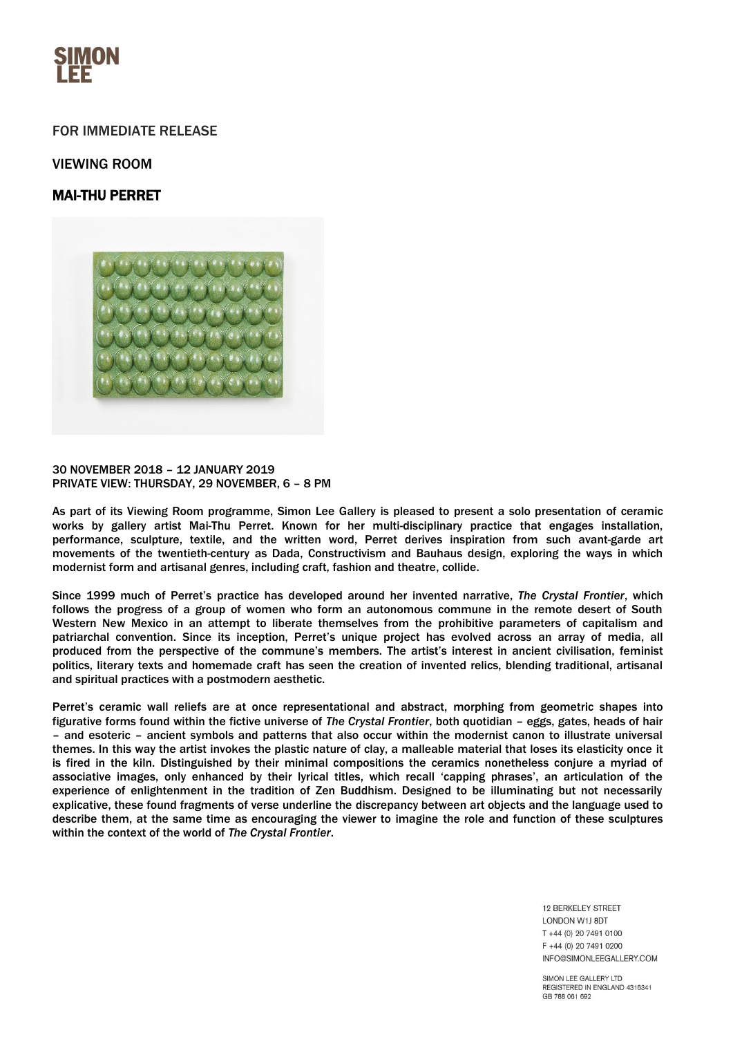

## FOR IMMEDIATE RELEASE

## VIEWING ROOM

# MAI-THU PERRET



#### 30 NOVEMBER 2018 – 12 JANUARY 2019 PRIVATE VIEW: THURSDAY, 29 NOVEMBER, 6 – 8 PM

As part of its Viewing Room programme, Simon Lee Gallery is pleased to present a solo presentation of ceramic works by gallery artist Mai-Thu Perret. Known for her multi-disciplinary practice that engages installation, performance, sculpture, textile, and the written word, Perret derives inspiration from such avant-garde art movements of the twentieth-century as Dada, Constructivism and Bauhaus design, exploring the ways in which modernist form and artisanal genres, including craft, fashion and theatre, collide.

Since 1999 much of Perret's practice has developed around her invented narrative, *The Crystal Frontier*, which follows the progress of a group of women who form an autonomous commune in the remote desert of South Western New Mexico in an attempt to liberate themselves from the prohibitive parameters of capitalism and patriarchal convention. Since its inception, Perret's unique project has evolved across an array of media, all produced from the perspective of the commune's members. The artist's interest in ancient civilisation, feminist politics, literary texts and homemade craft has seen the creation of invented relics, blending traditional, artisanal and spiritual practices with a postmodern aesthetic.

Perret's ceramic wall reliefs are at once representational and abstract, morphing from geometric shapes into figurative forms found within the fictive universe of *The Crystal Frontier*, both quotidian – eggs, gates, heads of hair – and esoteric – ancient symbols and patterns that also occur within the modernist canon to illustrate universal themes. In this way the artist invokes the plastic nature of clay, a malleable material that loses its elasticity once it is fired in the kiln. Distinguished by their minimal compositions the ceramics nonetheless conjure a myriad of associative images, only enhanced by their lyrical titles, which recall 'capping phrases', an articulation of the experience of enlightenment in the tradition of Zen Buddhism. Designed to be illuminating but not necessarily explicative, these found fragments of verse underline the discrepancy between art objects and the language used to describe them, at the same time as encouraging the viewer to imagine the role and function of these sculptures within the context of the world of *The Crystal Frontier*.

> **12 BERKELEY STREET** LONDON W1J 8DT T +44 (0) 20 7491 0100 F +44 (0) 20 7491 0200 INFO@SIMONLEEGALLERY.COM

SIMON LEE GALLERY LTD REGISTERED IN ENGLAND 4316341 GB 788 061 692